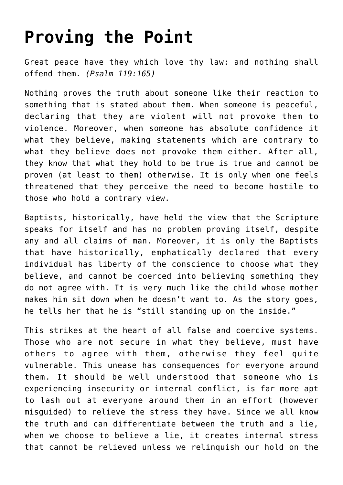## **[Proving the Point](http://reproachofmen.org/apologetics/proving-the-point/)**

Great peace have they which love thy law: and nothing shall offend them. *(Psalm 119:165)*

Nothing proves the truth about someone like their reaction to something that is stated about them. When someone is peaceful, declaring that they are violent will not provoke them to violence. Moreover, when someone has absolute confidence it what they believe, making statements which are contrary to what they believe does not provoke them either. After all, they know that what they hold to be true is true and cannot be proven (at least to them) otherwise. It is only when one feels threatened that they perceive the need to become hostile to those who hold a contrary view.

Baptists, historically, have held the view that the Scripture speaks for itself and has no problem proving itself, despite any and all claims of man. Moreover, it is only the Baptists that have historically, emphatically declared that every individual has liberty of the conscience to choose what they believe, and cannot be coerced into believing something they do not agree with. It is very much like the child whose mother makes him sit down when he doesn't want to. As the story goes, he tells her that he is "still standing up on the inside."

This strikes at the heart of all false and coercive systems. Those who are not secure in what they believe, must have others to agree with them, otherwise they feel quite vulnerable. This unease has consequences for everyone around them. It should be well understood that someone who is experiencing insecurity or internal conflict, is far more apt to lash out at everyone around them in an effort (however misguided) to relieve the stress they have. Since we all know the truth and can differentiate between the truth and a lie, when we choose to believe a lie, it creates internal stress that cannot be relieved unless we relinquish our hold on the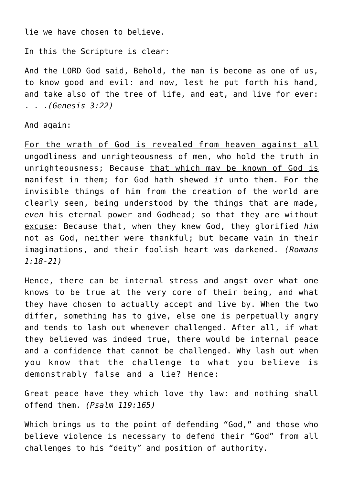lie we have chosen to believe.

In this the Scripture is clear:

And the LORD God said, Behold, the man is become as one of us, to know good and evil: and now, lest he put forth his hand, and take also of the tree of life, and eat, and live for ever: . . .*(Genesis 3:22)*

And again:

For the wrath of God is revealed from heaven against all ungodliness and unrighteousness of men, who hold the truth in unrighteousness; Because that which may be known of God is manifest in them; for God hath shewed *it* unto them. For the invisible things of him from the creation of the world are clearly seen, being understood by the things that are made, even his eternal power and Godhead; so that they are without excuse: Because that, when they knew God, they glorified *him* not as God, neither were thankful; but became vain in their imaginations, and their foolish heart was darkened. *(Romans 1:18-21)*

Hence, there can be internal stress and angst over what one knows to be true at the very core of their being, and what they have chosen to actually accept and live by. When the two differ, something has to give, else one is perpetually angry and tends to lash out whenever challenged. After all, if what they believed was indeed true, there would be internal peace and a confidence that cannot be challenged. Why lash out when you know that the challenge to what you believe is demonstrably false and a lie? Hence:

Great peace have they which love thy law: and nothing shall offend them. *(Psalm 119:165)*

Which brings us to the point of defending "God," and those who believe violence is necessary to defend their "God" from all challenges to his "deity" and position of authority.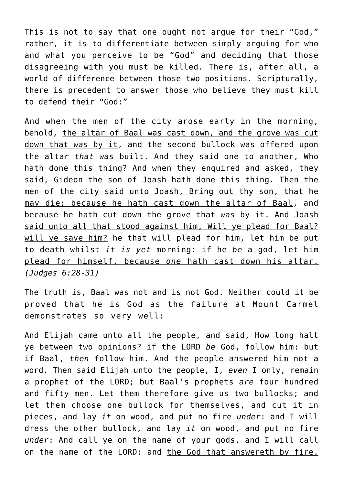This is not to say that one ought not argue for their "God," rather, it is to differentiate between simply arguing for who and what you perceive to be "God" and deciding that those disagreeing with you must be killed. There is, after all, a world of difference between those two positions. Scripturally, there is precedent to answer those who believe they must kill to defend their "God:"

And when the men of the city arose early in the morning, behold, the altar of Baal was cast down, and the grove was cut down that *was* by it, and the second bullock was offered upon the altar *that was* built. And they said one to another, Who hath done this thing? And when they enquired and asked, they said, Gideon the son of Joash hath done this thing. Then the men of the city said unto Joash, Bring out thy son, that he may die: because he hath cast down the altar of Baal, and because he hath cut down the grove that *was* by it. And Joash said unto all that stood against him, Will ye plead for Baal? will ye save him? he that will plead for him, let him be put to death whilst *it is yet* morning: if he *be* a god, let him plead for himself, because *one* hath cast down his altar. *(Judges 6:28-31)*

The truth is, Baal was not and is not God. Neither could it be proved that he is God as the failure at Mount Carmel demonstrates so very well:

And Elijah came unto all the people, and said, How long halt ye between two opinions? if the LORD *be* God, follow him: but if Baal, *then* follow him. And the people answered him not a word. Then said Elijah unto the people, I, *even* I only, remain a prophet of the LORD; but Baal's prophets *are* four hundred and fifty men. Let them therefore give us two bullocks; and let them choose one bullock for themselves, and cut it in pieces, and lay *it* on wood, and put no fire *under*: and I will dress the other bullock, and lay *it* on wood, and put no fire *under*: And call ye on the name of your gods, and I will call on the name of the LORD: and the God that answereth by fire,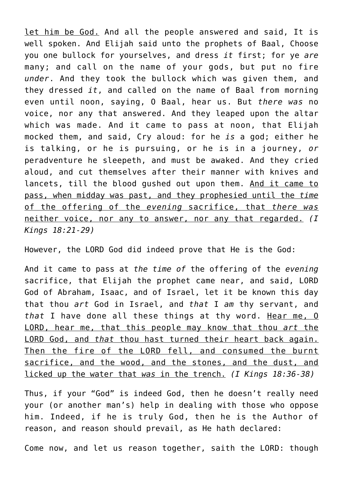let him be God. And all the people answered and said, It is well spoken. And Elijah said unto the prophets of Baal, Choose you one bullock for yourselves, and dress *it* first; for ye *are* many; and call on the name of your gods, but put no fire *under*. And they took the bullock which was given them, and they dressed *it*, and called on the name of Baal from morning even until noon, saying, O Baal, hear us. But *there was* no voice, nor any that answered. And they leaped upon the altar which was made. And it came to pass at noon, that Elijah mocked them, and said, Cry aloud: for he *is* a god; either he is talking, or he is pursuing, or he is in a journey, *or* peradventure he sleepeth, and must be awaked. And they cried aloud, and cut themselves after their manner with knives and lancets, till the blood gushed out upon them. And it came to pass, when midday was past, and they prophesied until the *time* of the offering of the *evening* sacrifice, that *there was* neither voice, nor any to answer, nor any that regarded. *(I Kings 18:21-29)*

However, the LORD God did indeed prove that He is the God:

And it came to pass at *the time of* the offering of the *evening* sacrifice, that Elijah the prophet came near, and said, LORD God of Abraham, Isaac, and of Israel, let it be known this day that thou *art* God in Israel, and *that* I *am* thy servant, and *that* I have done all these things at thy word. Hear me, O LORD, hear me, that this people may know that thou *art* the LORD God, and *that* thou hast turned their heart back again. Then the fire of the LORD fell, and consumed the burnt sacrifice, and the wood, and the stones, and the dust, and licked up the water that *was* in the trench. *(I Kings 18:36-38)*

Thus, if your "God" is indeed God, then he doesn't really need your (or another man's) help in dealing with those who oppose him. Indeed, if he is truly God, then he is the Author of reason, and reason should prevail, as He hath declared:

Come now, and let us reason together, saith the LORD: though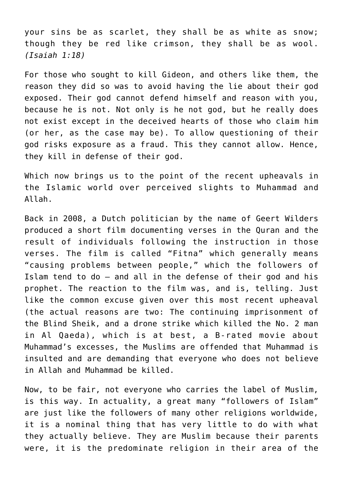your sins be as scarlet, they shall be as white as snow; though they be red like crimson, they shall be as wool. *(Isaiah 1:18)*

For those who sought to kill Gideon, and others like them, the reason they did so was to avoid having the lie about their god exposed. Their god cannot defend himself and reason with you, because he is not. Not only is he not god, but he really does not exist except in the deceived hearts of those who claim him (or her, as the case may be). To allow questioning of their god risks exposure as a fraud. This they cannot allow. Hence, they kill in defense of their god.

Which now brings us to the point of the recent upheavals in the Islamic world over perceived slights to Muhammad and Allah.

Back in 2008, a Dutch politician by the name of Geert Wilders produced a short film documenting verses in the Quran and the result of individuals following the instruction in those verses. The film is called "Fitna" which generally means "causing problems between people," which the followers of Islam tend to do – and all in the defense of their god and his prophet. The reaction to the film was, and is, telling. Just like the common excuse given over this most recent upheaval (the actual reasons are two: The continuing imprisonment of the Blind Sheik, and a drone strike which killed the No. 2 man in Al Qaeda), which is at best, a B-rated movie about Muhammad's excesses, the Muslims are offended that Muhammad is insulted and are demanding that everyone who does not believe in Allah and Muhammad be killed.

Now, to be fair, not everyone who carries the label of Muslim, is this way. In actuality, a great many "followers of Islam" are just like the followers of many other religions worldwide, it is a nominal thing that has very little to do with what they actually believe. They are Muslim because their parents were, it is the predominate religion in their area of the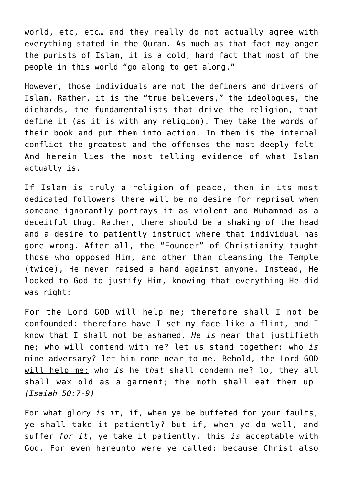world, etc, etc… and they really do not actually agree with everything stated in the Quran. As much as that fact may anger the purists of Islam, it is a cold, hard fact that most of the people in this world "go along to get along."

However, those individuals are not the definers and drivers of Islam. Rather, it is the "true believers," the ideologues, the diehards, the fundamentalists that drive the religion, that define it (as it is with any religion). They take the words of their book and put them into action. In them is the internal conflict the greatest and the offenses the most deeply felt. And herein lies the most telling evidence of what Islam actually is.

If Islam is truly a religion of peace, then in its most dedicated followers there will be no desire for reprisal when someone ignorantly portrays it as violent and Muhammad as a deceitful thug. Rather, there should be a shaking of the head and a desire to patiently instruct where that individual has gone wrong. After all, the "Founder" of Christianity taught those who opposed Him, and other than cleansing the Temple (twice), He never raised a hand against anyone. Instead, He looked to God to justify Him, knowing that everything He did was right:

For the Lord GOD will help me; therefore shall I not be confounded: therefore have I set my face like a flint, and  $\underline{I}$ know that I shall not be ashamed. *He is* near that justifieth me; who will contend with me? let us stand together: who *is* mine adversary? let him come near to me. Behold, the Lord GOD will help me; who *is* he *that* shall condemn me? lo, they all shall wax old as a garment; the moth shall eat them up. *(Isaiah 50:7-9)*

For what glory *is it*, if, when ye be buffeted for your faults, ye shall take it patiently? but if, when ye do well, and suffer *for it*, ye take it patiently, this *is* acceptable with God. For even hereunto were ye called: because Christ also